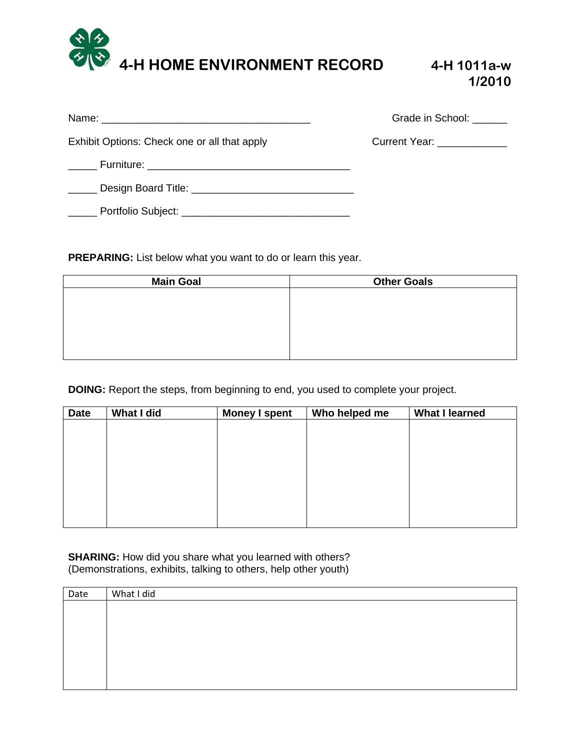

|                                              | Grade in School:             |
|----------------------------------------------|------------------------------|
| Exhibit Options: Check one or all that apply | Current Year: ______________ |
|                                              |                              |
|                                              |                              |
|                                              |                              |

**PREPARING:** List below what you want to do or learn this year.

| <b>Main Goal</b> | <b>Other Goals</b> |  |
|------------------|--------------------|--|
|                  |                    |  |
|                  |                    |  |
|                  |                    |  |
|                  |                    |  |
|                  |                    |  |

**DOING:** Report the steps, from beginning to end, you used to complete your project.

| <b>Date</b> | What I did | <b>Money I spent</b> | Who helped me | <b>What I learned</b> |
|-------------|------------|----------------------|---------------|-----------------------|
|             |            |                      |               |                       |
|             |            |                      |               |                       |
|             |            |                      |               |                       |
|             |            |                      |               |                       |
|             |            |                      |               |                       |
|             |            |                      |               |                       |
|             |            |                      |               |                       |
|             |            |                      |               |                       |

**SHARING:** How did you share what you learned with others? (Demonstrations, exhibits, talking to others, help other youth)

| Date | What I did |
|------|------------|
|      |            |
|      |            |
|      |            |
|      |            |
|      |            |
|      |            |
|      |            |